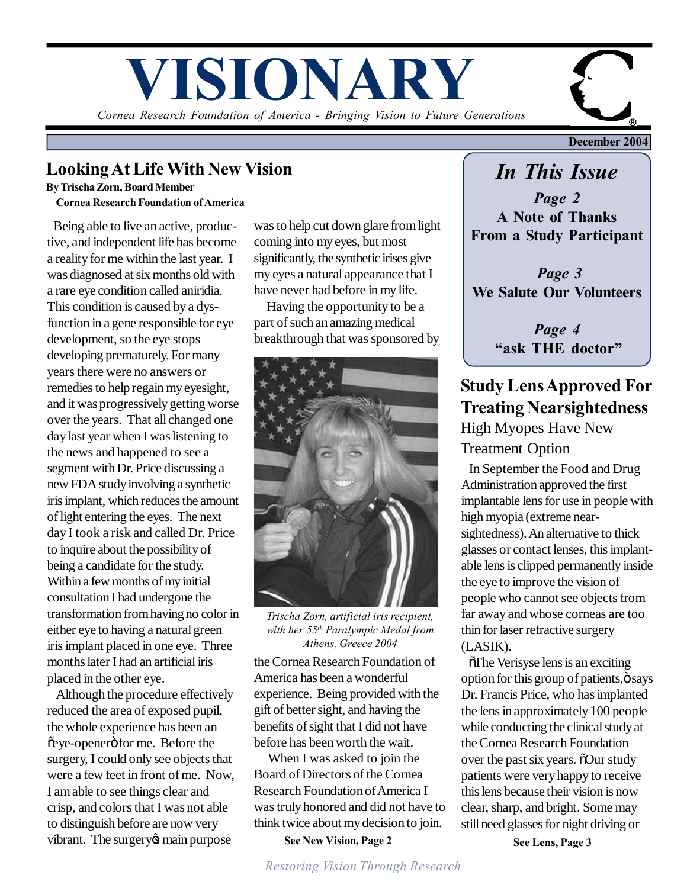# **VISIONARY**

*Cornea Research Foundation of America - Bringing Vision to Future Generations*

## **Looking At Life With New Vision**

**By Trischa Zorn, Board Member Cornea Research Foundation of America**

 Being able to live an active, productive, and independent life has become a reality for me within the last year. I was diagnosed at six months old with a rare eye condition called aniridia. This condition is caused by a dysfunction in a gene responsible for eye development, so the eye stops developing prematurely. For many years there were no answers or remedies to help regain my eyesight, and it was progressively getting worse over the years. That all changed one day last year when I was listening to the news and happened to see a segment with Dr. Price discussing a new FDA study involving a synthetic iris implant, which reduces the amount of light entering the eyes. The next day I took a risk and called Dr. Price to inquire about the possibility of being a candidate for the study. Within a few months of my initial consultation I had undergone the transformation from having no color in either eye to having a natural green iris implant placed in one eye. Three months later I had an artificial iris placed in the other eye.

 Although the procedure effectively reduced the area of exposed pupil, the whole experience has been an õeye-openerö for me. Before the surgery, I could only see objects that were a few feet in front of me. Now, I am able to see things clear and crisp, and colors that I was not able to distinguish before are now very vibrant. The surgery the main purpose

was to help cut down glare from light coming into my eyes, but most significantly, the synthetic irises give my eyes a natural appearance that I have never had before in my life.

 Having the opportunity to be a part of such an amazing medical breakthrough that was sponsored by



*Trischa Zorn, artificial iris recipient, with her 55th Paralympic Medal from Athens, Greece 2004*

the Cornea Research Foundation of America has been a wonderful experience. Being provided with the gift of better sight, and having the benefits of sight that I did not have before has been worth the wait.

 When I was asked to join the Board of Directors of the Cornea Research Foundation of America I was truly honored and did not have to think twice about my decision to join.

**See New Vision, Page 2**

**December 2004**

# *In This Issue*

*Page 2* **A Note of Thanks From a Study Participant**

*Page 3* **We Salute Our Volunteers**

> *Page 4* **"ask THE doctor"**

## **Study Lens Approved For Treating Nearsightedness** High Myopes Have New

## Treatment Option

 In September the Food and Drug Administration approved the first implantable lens for use in people with high myopia (extreme nearsightedness). An alternative to thick glasses or contact lenses, this implantable lens is clipped permanently inside the eye to improve the vision of people who cannot see objects from far away and whose corneas are too thin for laser refractive surgery (LASIK).

 $\delta$ The Verisyse lens is an exciting option for this group of patients,  $\ddot{o}$  says Dr. Francis Price, who has implanted the lens in approximately 100 people while conducting the clinical study at the Cornea Research Foundation over the past six years.  $\delta$ Our study patients were very happy to receive this lens because their vision is now clear, sharp, and bright. Some may still need glasses for night driving or

**See Lens, Page 3**

*Restoring Vision Through Research*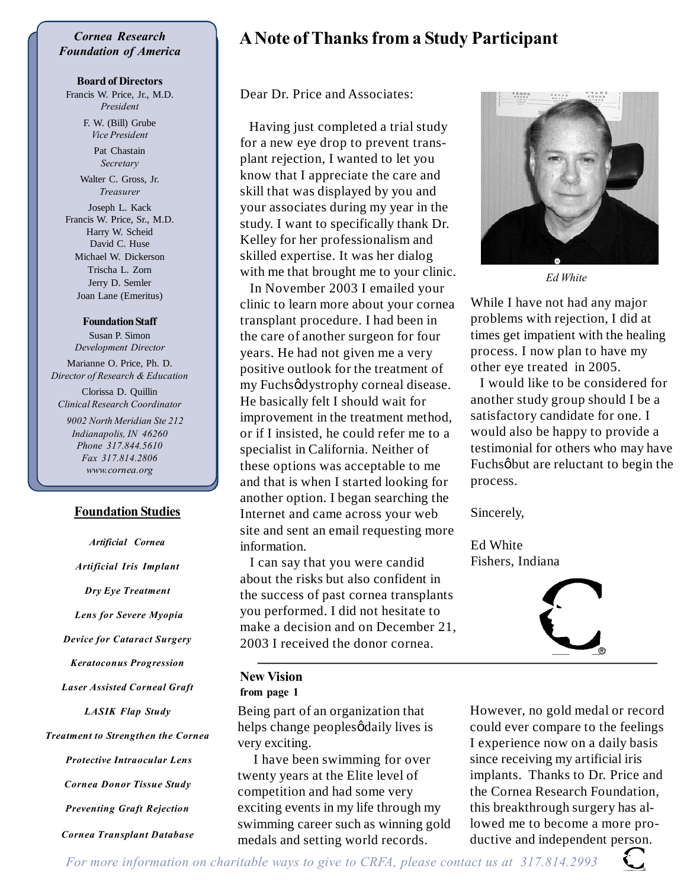#### *Cornea Research Foundation of America*

#### **Board of Directors**

Francis W. Price, Jr., M.D. *President*

> F. W. (Bill) Grube *Vice President*

> > Pat Chastain *Secretary*

Walter C. Gross, Jr. *Treasurer*

Joseph L. Kack Francis W. Price, Sr., M.D. Harry W. Scheid David C. Huse Michael W. Dickerson Trischa L. Zorn Jerry D. Semler Joan Lane (Emeritus)

**Foundation Staff** Susan P. Simon *Development Director*

Marianne O. Price, Ph. D. *Director of Research & Education*

Clorissa D. Quillin *Clinical Research Coordinator*

 *9002 North Meridian Ste 212 Indianapolis, IN 46260 Phone 317.844.5610 Fax 317.814.2806 www.cornea.org*

#### **Foundation Studies**

*Artificial Cornea*

*Artificial Iris Implant Dry Eye Treatment Lens for Severe Myopia Device for Cataract Surgery Keratoconus Progression Laser Assisted Corneal Graft LASIK Flap Study Treatment to Strengthen the Cornea Protective Intraocular Lens Cornea Donor Tissue Study Preventing Graft Rejection Cornea Transplant Database*

## **A Note of Thanks from a Study Participant**

Dear Dr. Price and Associates:

 Having just completed a trial study for a new eye drop to prevent transplant rejection, I wanted to let you know that I appreciate the care and skill that was displayed by you and your associates during my year in the study. I want to specifically thank Dr. Kelley for her professionalism and skilled expertise. It was her dialog with me that brought me to your clinic.

 In November 2003 I emailed your clinic to learn more about your cornea transplant procedure. I had been in the care of another surgeon for four years. He had not given me a very positive outlook for the treatment of my Fuchsødystrophy corneal disease. He basically felt I should wait for improvement in the treatment method, or if I insisted, he could refer me to a specialist in California. Neither of these options was acceptable to me and that is when I started looking for another option. I began searching the Internet and came across your web site and sent an email requesting more information.

 I can say that you were candid about the risks but also confident in the success of past cornea transplants you performed. I did not hesitate to make a decision and on December 21, 2003 I received the donor cornea.

#### **New Vision from page 1**

Being part of an organization that helps change peoples *g*daily lives is very exciting.

 I have been swimming for over twenty years at the Elite level of competition and had some very exciting events in my life through my swimming career such as winning gold medals and setting world records.



*Ed White*

While I have not had any major problems with rejection, I did at times get impatient with the healing process. I now plan to have my other eye treated in 2005.

 I would like to be considered for another study group should I be a satisfactory candidate for one. I would also be happy to provide a testimonial for others who may have Fuchsøbut are reluctant to begin the process.

Sincerely,

Ed White Fishers, Indiana



However, no gold medal or record could ever compare to the feelings I experience now on a daily basis since receiving my artificial iris implants. Thanks to Dr. Price and the Cornea Research Foundation, this breakthrough surgery has allowed me to become a more productive and independent person.

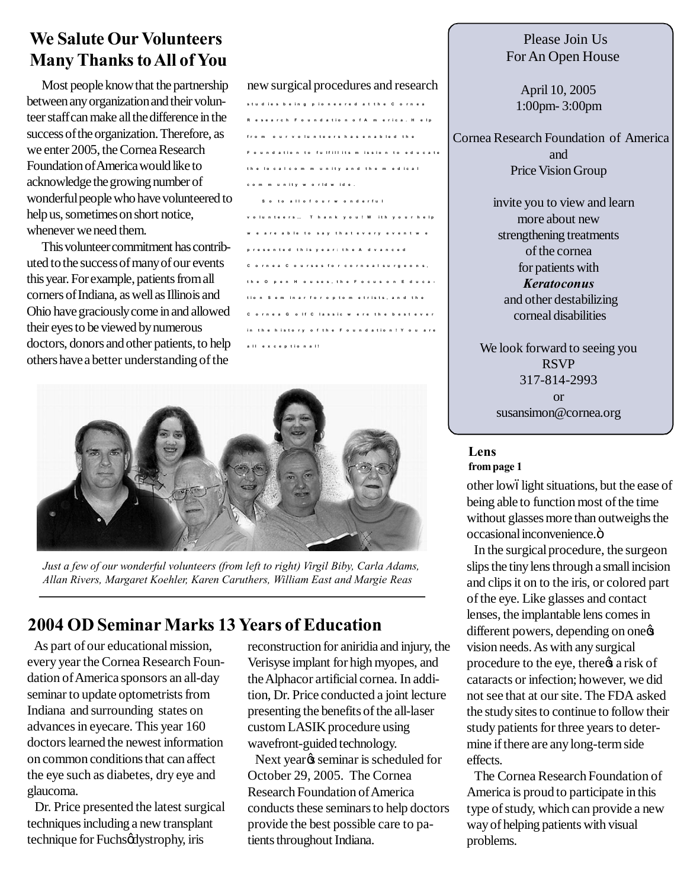## **We Salute Our Volunteers Many Thanks to All of You**

Most people know that the partnership between any organization and their volunteer staff can make all the difference in the success of the organization. Therefore, as we enter 2005, the Cornea Research Foundation of America would like to acknowledge the growing number of wonderful people who have volunteered to help us, sometimes on short notice, whenever we need them.

This volunteer commitment has contributed to the success of many of our events this year. For example, patients from all corners of Indiana, as well as Illinois and Ohio have graciously come in and allowed their eyes to be viewed by numerous doctors, donors and other patients, to help others have a better understanding of the

new surgical procedures and research

| studies being pioneered at the Cornea        |  |  |                            |  |  |  |  |  |  |  |  |  |  |  |  |
|----------------------------------------------|--|--|----------------------------|--|--|--|--|--|--|--|--|--|--|--|--|
| Research Foundation of America. Help         |  |  |                            |  |  |  |  |  |  |  |  |  |  |  |  |
| from our volunteers has enabled the          |  |  |                            |  |  |  |  |  |  |  |  |  |  |  |  |
| Foundation to fulfill its mission to educate |  |  |                            |  |  |  |  |  |  |  |  |  |  |  |  |
| the local community and the medical          |  |  |                            |  |  |  |  |  |  |  |  |  |  |  |  |
| community world wide.                        |  |  |                            |  |  |  |  |  |  |  |  |  |  |  |  |
|                                              |  |  | So to all of our wonderful |  |  |  |  |  |  |  |  |  |  |  |  |
| volunteers Thank you! With your help         |  |  |                            |  |  |  |  |  |  |  |  |  |  |  |  |
| we are able to say that every event we       |  |  |                            |  |  |  |  |  |  |  |  |  |  |  |  |
| presented this year: the Advanced            |  |  |                            |  |  |  |  |  |  |  |  |  |  |  |  |
| Cornea Courses for corneal surgeons,         |  |  |                            |  |  |  |  |  |  |  |  |  |  |  |  |
| the Open Houses, the Focus on Educa-         |  |  |                            |  |  |  |  |  |  |  |  |  |  |  |  |
| tion Seminar for optometrists, and the       |  |  |                            |  |  |  |  |  |  |  |  |  |  |  |  |
| Cornea Golf Classic were the best ever       |  |  |                            |  |  |  |  |  |  |  |  |  |  |  |  |
| in the history of the Foundation! You are    |  |  |                            |  |  |  |  |  |  |  |  |  |  |  |  |
| all exceptional!                             |  |  |                            |  |  |  |  |  |  |  |  |  |  |  |  |



*Just a few of our wonderful volunteers (from left to right) Virgil Biby, Carla Adams, Allan Rivers, Margaret Koehler, Karen Caruthers, William East and Margie Reas*

## **2004 OD Seminar Marks 13 Years of Education**

 As part of our educational mission, every year the Cornea Research Foundation of America sponsors an all-day seminar to update optometrists from Indiana and surrounding states on advances in eyecare. This year 160 doctors learned the newest information on common conditions that can affect the eye such as diabetes, dry eye and glaucoma.

 Dr. Price presented the latest surgical techniques including a new transplant technique for Fuchsødystrophy, iris

reconstruction for aniridia and injury, the Verisyse implant for high myopes, and the Alphacor artificial cornea. In addition, Dr. Price conducted a joint lecture presenting the benefits of the all-laser custom LASIK procedure using wavefront-guided technology.

Next year<sub>%</sub> seminar is scheduled for October 29, 2005. The Cornea Research Foundation of America conducts these seminars to help doctors provide the best possible care to patients throughout Indiana.

### Please Join Us For An Open House

April 10, 2005 1:00pm- 3:00pm

 Cornea Research Foundation of America and Price Vision Group

> invite you to view and learn more about new strengthening treatments of the cornea for patients with *Keratoconus* and other destabilizing corneal disabilities

We look forward to seeing you RSVP 317-814-2993 or susansimon@cornea.org

**Lens from page 1**

other lowólight situations, but the ease of being able to function most of the time without glasses more than outweighs the occasional inconvenience.ö

 In the surgical procedure, the surgeon slips the tiny lens through a small incision and clips it on to the iris, or colored part of the eye. Like glasses and contact lenses, the implantable lens comes in different powers, depending on one vision needs. As with any surgical procedure to the eye, there  $\alpha$  a risk of cataracts or infection; however, we did not see that at our site. The FDA asked the study sites to continue to follow their study patients for three years to determine if there are any long-term side effects.

 The Cornea Research Foundation of America is proud to participate in this type of study, which can provide a new way of helping patients with visual problems.